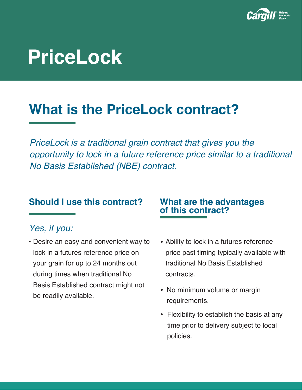

# **PriceLock**

## **What is the PriceLock contract?**

*PriceLock is a traditional grain contract that gives you the opportunity to lock in a future reference price similar to a traditional No Basis Established (NBE) contract.* 

#### *Yes, if you:*

• Desire an easy and convenient way to lock in a futures reference price on your grain for up to 24 months out during times when traditional No Basis Established contract might not be readily available.

## **Should I use this contract? What are the advantages of this contract?**

- Ability to lock in a futures reference price past timing typically available with traditional No Basis Established contracts.
- No minimum volume or margin requirements.
- Flexibility to establish the basis at any time prior to delivery subject to local policies.